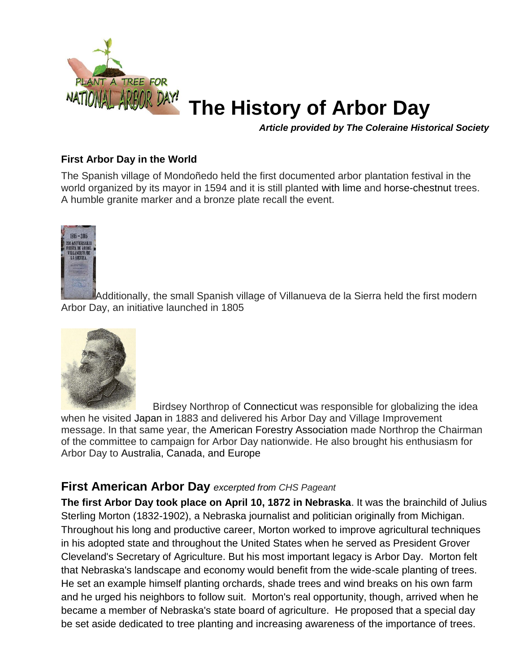

## **The History of Arbor Day**

*Article provided by The Coleraine Historical Society*

## **First Arbor Day in the World**

The Spanish village of Mondoñedo held the first documented arbor plantation festival in the world organized by its mayor in 1594 and it is still planted with lime and horse-chestnut trees. A humble granite marker and a bronze plate recall the event.



Additionally, the small Spanish village of Villanueva de la Sierra held the first modern Arbor Day, an initiative launched in 1805



Birdsey Northrop of Connecticut was responsible for globalizing the idea when he visited Japan in 1883 and delivered his Arbor Day and Village Improvement message. In that same year, the American Forestry Association made Northrop the Chairman of the committee to campaign for Arbor Day nationwide. He also brought his enthusiasm for Arbor Day to Australia, Canada, and Europe

## **First American Arbor Day** *excerpted from CHS Pageant*

**The first Arbor Day took place on April 10, 1872 in Nebraska**. It was the brainchild of Julius Sterling Morton (1832-1902), a Nebraska journalist and politician originally from Michigan. Throughout his long and productive career, Morton worked to improve agricultural techniques in his adopted state and throughout the United States when he served as President Grover Cleveland's Secretary of Agriculture. But his most important legacy is Arbor Day. Morton felt that Nebraska's landscape and economy would benefit from the wide-scale planting of trees. He set an example himself planting orchards, shade trees and wind breaks on his own farm and he urged his neighbors to follow suit. Morton's real opportunity, though, arrived when he became a member of Nebraska's state board of agriculture. He proposed that a special day be set aside dedicated to tree planting and increasing awareness of the importance of trees.